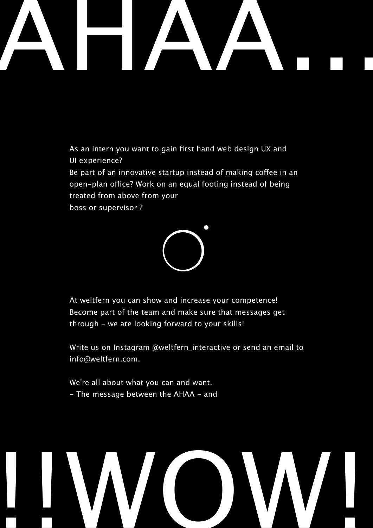

As an intern you want to gain first hand web design UX and UI experience?

Be part of an innovative startup instead of making coffee in an open-plan office? Work on an equal footing instead of being treated from above from your boss or supervisor?



At weltfern you can show and increase your competence! Become part of the team and make sure that messages get through - we are looking forward to your skills!

Write us on Instagram @weltfern interactive or send an email to info@weltfern.com.

We're all about what you can and want. - The message between the AHAA - and